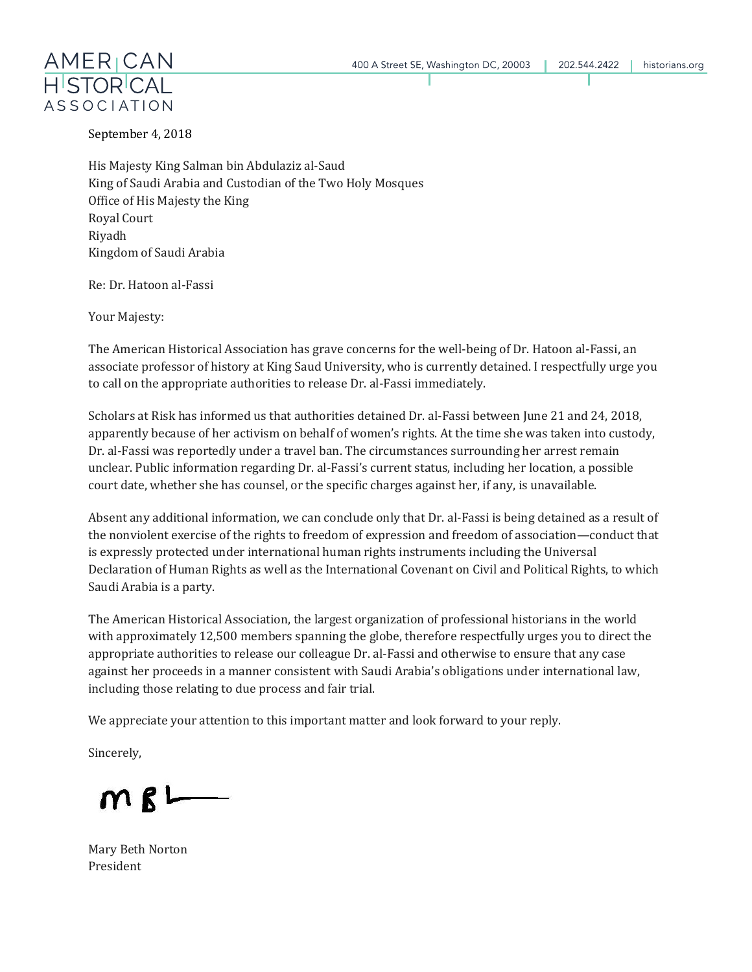

September 4, 2018

His Majesty King Salman bin Abdulaziz al-Saud King of Saudi Arabia and Custodian of the Two Holy Mosques Office of His Majesty the King Royal Court Riyadh Kingdom of Saudi Arabia

Re: Dr. Hatoon al-Fassi

Your Majesty:

The American Historical Association has grave concerns for the well-being of Dr. Hatoon al-Fassi, an associate professor of history at King Saud University, who is currently detained. I respectfully urge you to call on the appropriate authorities to release Dr. al-Fassi immediately.

Scholars at Risk has informed us that authorities detained Dr. al-Fassi between June 21 and 24, 2018, apparently because of her activism on behalf of women's rights. At the time she was taken into custody, Dr. al-Fassi was reportedly under a travel ban. The circumstances surrounding her arrest remain unclear. Public information regarding Dr. al-Fassi's current status, including her location, a possible court date, whether she has counsel, or the specific charges against her, if any, is unavailable.

Absent any additional information, we can conclude only that Dr. al-Fassi is being detained as a result of the nonviolent exercise of the rights to freedom of expression and freedom of association—conduct that is expressly protected under international human rights instruments including the Universal Declaration of Human Rights as well as the International Covenant on Civil and Political Rights, to which Saudi Arabia is a party.

The American Historical Association, the largest organization of professional historians in the world with approximately 12,500 members spanning the globe, therefore respectfully urges you to direct the appropriate authorities to release our colleague Dr. al-Fassi and otherwise to ensure that any case against her proceeds in a manner consistent with Saudi Arabia's obligations under international law, including those relating to due process and fair trial.

We appreciate your attention to this important matter and look forward to your reply.

Sincerely,

 $MB$ 

Mary Beth Norton President